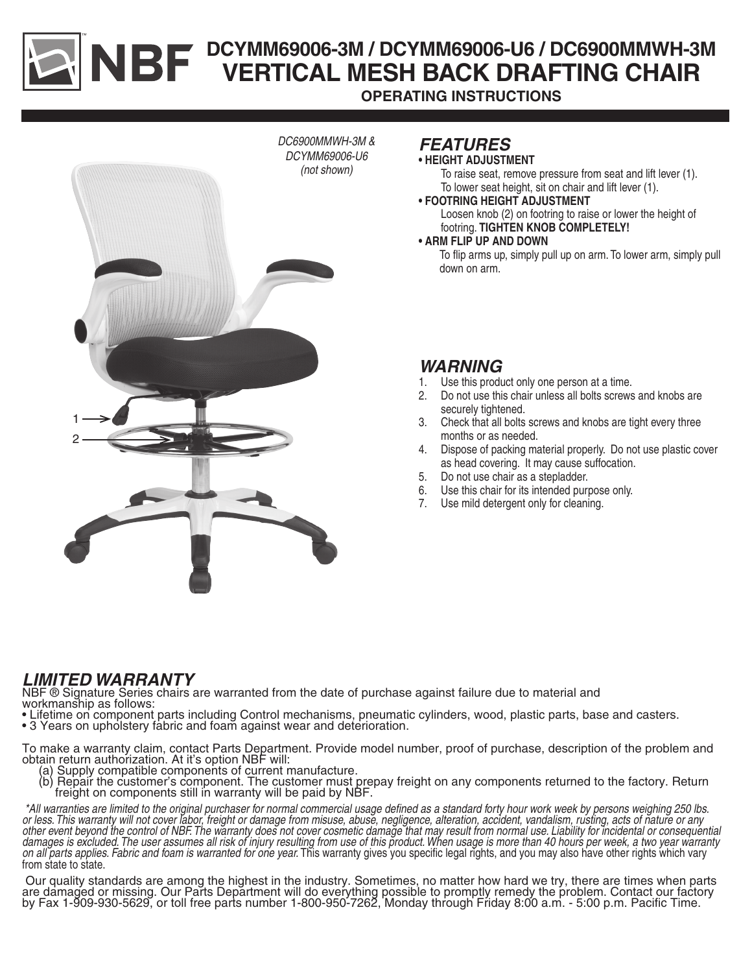# **DCYMM69006-3M / DCYMM69006-U6 / DC6900MMWH-3M VERTICAL MESH BACK DRAFTING CHAIR OPERATING INSTRUCTIONS**



# *FEATURES*

#### **• HEIGHT ADJUSTMENT**

To raise seat, remove pressure from seat and lift lever (1). To lower seat height, sit on chair and lift lever (1).

**• FOOTRING HEIGHT ADJUSTMENT**

Loosen knob (2) on footring to raise or lower the height of footring. **TIGHTEN KNOB COMPLETELY!**

**• ARM FLIP UP AND DOWN**

To flip arms up, simply pull up on arm. To lower arm, simply pull down on arm.

## *WARNING*

- 1. Use this product only one person at a time.
- 2. Do not use this chair unless all bolts screws and knobs are securely tightened.
- 3. Check that all bolts screws and knobs are tight every three months or as needed.
- 4. Dispose of packing material properly. Do not use plastic cover as head covering. It may cause suffocation.
- 5. Do not use chair as a stepladder.
- 6. Use this chair for its intended purpose only.
- 7. Use mild detergent only for cleaning.

# *LIMITED WARRANTY*

NBF ® Signature Series chairs are warranted from the date of purchase against failure due to material and workmanship as follows:

- Lifetime on component parts including Control mechanisms, pneumatic cylinders, wood, plastic parts, base and casters.
- 3 Years on upholstery fabric and foam against wear and deterioration.

To make a warranty claim, contact Parts Department. Provide model number, proof of purchase, description of the problem and obtain return authorization. At it's option NBF will: obtain return authorization. At it's option NBF will: (a) Supply compatible components of current manufacture.

- 
- (b) Repair the customer's component. The customer must prepay freight on any components returned to the factory. Return freight on components still in warranty will be paid by NBF.

 *\*All warranties are limited to the original purchaser for normal commercial usage defined as a standard forty hour work week by persons weighing 250 lbs. or less. This warranty will not cover labor, freight or damage from misuse, abuse, negligence, alteration, accident, vandalism, rusting, acts of nature or any other event beyond the control of NBF. The warranty does not cover cosmetic damage that may result from normal use. Liability for incidental or consequential damages is excluded. The user assumes all risk of injury resulting from use of this product. When usage is more than 40 hours per week, a two year warranty on all parts applies. Fabric and foam is warranted for one year.* This warranty gives you specific legal rights, and you may also have other rights which vary<br>from state to state.

 Our quality standards are among the highest in the industry. Sometimes, no matter how hard we try, there are times when parts are damaged or missing. Our Parts Department will do everything possible to promptly remedy the problem. Contact our factory by Fax 1-909-930-5629, or toll free parts number 1-800-950-7262, Monday through Friday 8:00 a.m. - 5:00 p.m. Pacific Time.